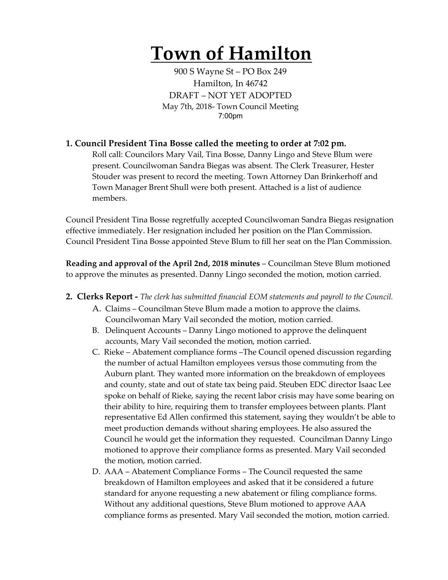# **Town of Hamilton**

900 S Wayne St – PO Box 249 Hamilton, In 46742 DRAFT – NOT YET ADOPTED May 7th, 2018- Town Council Meeting 7:00pm

#### **1. Council President Tina Bosse called the meeting to order at 7:02 pm.**

Roll call: Councilors Mary Vail, Tina Bosse, Danny Lingo and Steve Blum were present. Councilwoman Sandra Biegas was absent. The Clerk Treasurer, Hester Stouder was present to record the meeting. Town Attorney Dan Brinkerhoff and Town Manager Brent Shull were both present. Attached is a list of audience members.

Council President Tina Bosse regretfully accepted Councilwoman Sandra Biegas resignation effective immediately. Her resignation included her position on the Plan Commission. Council President Tina Bosse appointed Steve Blum to fill her seat on the Plan Commission.

**Reading and approval of the April 2nd, 2018 minutes** – Councilman Steve Blum motioned to approve the minutes as presented. Danny Lingo seconded the motion, motion carried.

- **2. Clerks Report -** *The clerk has submitted financial EOM statements and payroll to the Council.* 
	- A. Claims Councilman Steve Blum made a motion to approve the claims. Councilwoman Mary Vail seconded the motion, motion carried.
	- B. Delinquent Accounts Danny Lingo motioned to approve the delinquent accounts, Mary Vail seconded the motion, motion carried.
	- C. Rieke Abatement compliance forms –The Council opened discussion regarding the number of actual Hamilton employees versus those commuting from the Auburn plant. They wanted more information on the breakdown of employees and county, state and out of state tax being paid. Steuben EDC director Isaac Lee spoke on behalf of Rieke, saying the recent labor crisis may have some bearing on their ability to hire, requiring them to transfer employees between plants. Plant representative Ed Allen confirmed this statement, saying they wouldn't be able to meet production demands without sharing employees. He also assured the Council he would get the information they requested. Councilman Danny Lingo motioned to approve their compliance forms as presented. Mary Vail seconded the motion, motion carried.
	- D. AAA Abatement Compliance Forms The Council requested the same breakdown of Hamilton employees and asked that it be considered a future standard for anyone requesting a new abatement or filing compliance forms. Without any additional questions, Steve Blum motioned to approve AAA compliance forms as presented. Mary Vail seconded the motion, motion carried.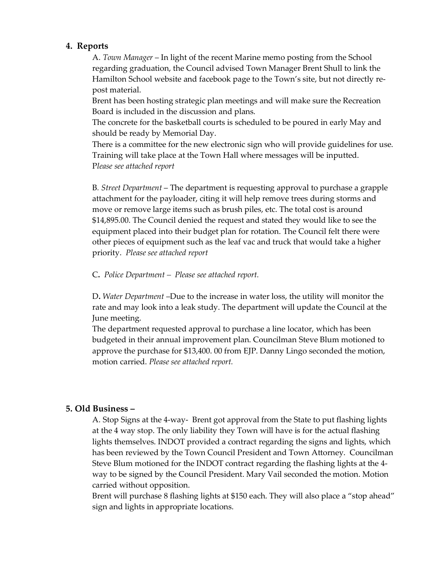#### **4. Reports**

A. *Town Manager* – In light of the recent Marine memo posting from the School regarding graduation, the Council advised Town Manager Brent Shull to link the Hamilton School website and facebook page to the Town's site, but not directly repost material.

Brent has been hosting strategic plan meetings and will make sure the Recreation Board is included in the discussion and plans.

The concrete for the basketball courts is scheduled to be poured in early May and should be ready by Memorial Day.

There is a committee for the new electronic sign who will provide guidelines for use. Training will take place at the Town Hall where messages will be inputted. P*lease see attached report*

B*. Street Department* – The department is requesting approval to purchase a grapple attachment for the payloader, citing it will help remove trees during storms and move or remove large items such as brush piles, etc. The total cost is around \$14,895.00. The Council denied the request and stated they would like to see the equipment placed into their budget plan for rotation. The Council felt there were other pieces of equipment such as the leaf vac and truck that would take a higher priority. *Please see attached report*

C**.** *Police Department – Please see attached report.*

D**.** *Water Department* –Due to the increase in water loss, the utility will monitor the rate and may look into a leak study. The department will update the Council at the June meeting.

The department requested approval to purchase a line locator, which has been budgeted in their annual improvement plan. Councilman Steve Blum motioned to approve the purchase for \$13,400. 00 from EJP. Danny Lingo seconded the motion, motion carried. *Please see attached report.* 

### **5. Old Business –**

A. Stop Signs at the 4-way- Brent got approval from the State to put flashing lights at the 4 way stop. The only liability they Town will have is for the actual flashing lights themselves. INDOT provided a contract regarding the signs and lights, which has been reviewed by the Town Council President and Town Attorney. Councilman Steve Blum motioned for the INDOT contract regarding the flashing lights at the 4 way to be signed by the Council President. Mary Vail seconded the motion. Motion carried without opposition.

Brent will purchase 8 flashing lights at \$150 each. They will also place a "stop ahead" sign and lights in appropriate locations.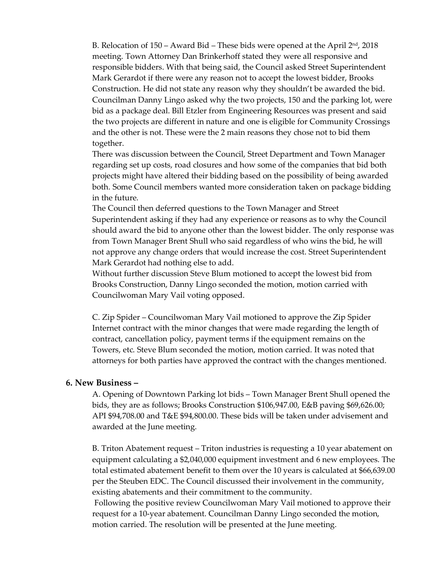B. Relocation of  $150 -$  Award Bid – These bids were opened at the April  $2<sup>nd</sup>$ , 2018 meeting. Town Attorney Dan Brinkerhoff stated they were all responsive and responsible bidders. With that being said, the Council asked Street Superintendent Mark Gerardot if there were any reason not to accept the lowest bidder, Brooks Construction. He did not state any reason why they shouldn't be awarded the bid. Councilman Danny Lingo asked why the two projects, 150 and the parking lot, were bid as a package deal. Bill Etzler from Engineering Resources was present and said the two projects are different in nature and one is eligible for Community Crossings and the other is not. These were the 2 main reasons they chose not to bid them together.

There was discussion between the Council, Street Department and Town Manager regarding set up costs, road closures and how some of the companies that bid both projects might have altered their bidding based on the possibility of being awarded both. Some Council members wanted more consideration taken on package bidding in the future.

The Council then deferred questions to the Town Manager and Street Superintendent asking if they had any experience or reasons as to why the Council should award the bid to anyone other than the lowest bidder. The only response was from Town Manager Brent Shull who said regardless of who wins the bid, he will not approve any change orders that would increase the cost. Street Superintendent Mark Gerardot had nothing else to add.

Without further discussion Steve Blum motioned to accept the lowest bid from Brooks Construction, Danny Lingo seconded the motion, motion carried with Councilwoman Mary Vail voting opposed.

C. Zip Spider – Councilwoman Mary Vail motioned to approve the Zip Spider Internet contract with the minor changes that were made regarding the length of contract, cancellation policy, payment terms if the equipment remains on the Towers, etc. Steve Blum seconded the motion, motion carried. It was noted that attorneys for both parties have approved the contract with the changes mentioned.

#### **6. New Business –**

A. Opening of Downtown Parking lot bids – Town Manager Brent Shull opened the bids, they are as follows; Brooks Construction \$106,947.00, E&B paving \$69,626.00; API \$94,708.00 and T&E \$94,800.00. These bids will be taken under advisement and awarded at the June meeting.

B. Triton Abatement request – Triton industries is requesting a 10 year abatement on equipment calculating a \$2,040,000 equipment investment and 6 new employees. The total estimated abatement benefit to them over the 10 years is calculated at \$66,639.00 per the Steuben EDC. The Council discussed their involvement in the community, existing abatements and their commitment to the community.

Following the positive review Councilwoman Mary Vail motioned to approve their request for a 10-year abatement. Councilman Danny Lingo seconded the motion, motion carried. The resolution will be presented at the June meeting.